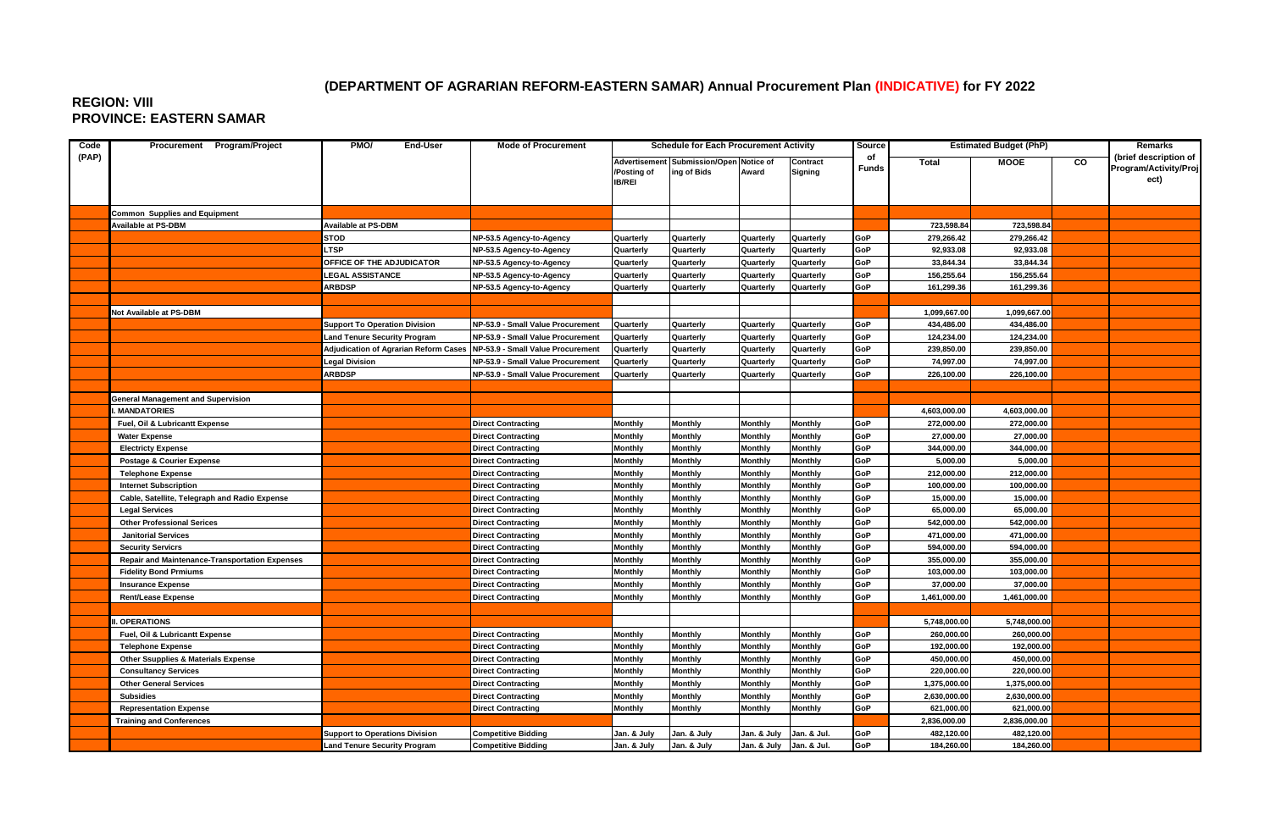## **(DEPARTMENT OF AGRARIAN REFORM-EASTERN SAMAR) Annual Procurement Plan (INDICATIVE) for FY 2022**

## **REGION: VIII PROVINCE: EASTERN SAMAR**

| Code  | Procurement Program/Project                           | PMO/<br>End-User                             | <b>Mode of Procurement</b>        | <b>Schedule for Each Procurement Activity</b> |                                                        |                                  | Source              | <b>Estimated Budget (PhP)</b> |                            |                            | Remarks |                                                        |
|-------|-------------------------------------------------------|----------------------------------------------|-----------------------------------|-----------------------------------------------|--------------------------------------------------------|----------------------------------|---------------------|-------------------------------|----------------------------|----------------------------|---------|--------------------------------------------------------|
| (PAP) |                                                       |                                              |                                   | /Posting of<br><b>IB/REI</b>                  | Advertisement Submission/Open Notice of<br>ing of Bids | Award                            | Contract<br>Signing | of<br><b>Funds</b>            | Total                      | <b>MOOE</b>                | CO      | (brief description of<br>Program/Activity/Proj<br>ect) |
|       | <b>Common Supplies and Equipment</b>                  |                                              |                                   |                                               |                                                        |                                  |                     |                               |                            |                            |         |                                                        |
|       | <b>Available at PS-DBM</b>                            | Available at PS-DBM                          |                                   |                                               |                                                        |                                  |                     |                               | 723,598.84                 | 723,598.84                 |         |                                                        |
|       |                                                       | <b>STOD</b>                                  | NP-53.5 Agency-to-Agency          | Quarterly                                     | Quarterly                                              | Quarterly                        | Quarterly           | GoP                           | 279,266.42                 | 279,266.42                 |         |                                                        |
|       |                                                       | <b>LTSP</b>                                  | NP-53.5 Agency-to-Agency          | Quarterly                                     | Quarterly                                              | Quarterly                        | Quarterly           | GoP                           | 92,933.08                  | 92,933.08                  |         |                                                        |
|       |                                                       | OFFICE OF THE ADJUDICATOR                    | NP-53.5 Agency-to-Agency          | Quarterly                                     | Quarterly                                              | Quarterly                        | Quarterly           | GoP                           | 33,844.34                  | 33,844.34                  |         |                                                        |
|       |                                                       | <b>LEGAL ASSISTANCE</b>                      | NP-53.5 Agency-to-Agency          | Quarterly                                     | Quarterly                                              | Quarterly                        | Quarterly           | GoP                           | 156,255.64                 | 156,255.64                 |         |                                                        |
|       |                                                       | <b>ARBDSP</b>                                | NP-53.5 Agency-to-Agency          | Quarterly                                     | Quarterly                                              | Quarterly                        | Quarterly           | GoP                           | 161,299.36                 | 161,299.36                 |         |                                                        |
|       |                                                       |                                              |                                   |                                               |                                                        |                                  |                     |                               |                            |                            |         |                                                        |
|       | Not Available at PS-DBM                               |                                              |                                   |                                               |                                                        |                                  |                     |                               | 1,099,667.00               | 1,099,667.00               |         |                                                        |
|       |                                                       | <b>Support To Operation Division</b>         | NP-53.9 - Small Value Procurement | Quarterly                                     | Quarterly                                              | Quarterly                        | Quarterly           | GoP                           | 434,486.00                 | 434,486.00                 |         |                                                        |
|       |                                                       | <b>Land Tenure Security Program</b>          | NP-53.9 - Small Value Procurement | Quarterly                                     | Quarterly                                              | Quarterly                        | Quarterly           | GoP                           | 124.234.00                 | 124,234.00                 |         |                                                        |
|       |                                                       | <b>Adjudication of Agrarian Reform Cases</b> | NP-53.9 - Small Value Procurement | Quarterly                                     | Quarterly                                              | Quarterly                        | Quarterly           | GoP                           | 239,850.00                 | 239,850.00                 |         |                                                        |
|       |                                                       | <b>Legal Division</b>                        | NP-53.9 - Small Value Procurement | Quarterly                                     | Quarterly                                              | Quarterly                        | Quarterly           | GoP                           | 74,997.00                  | 74,997.00                  |         |                                                        |
|       |                                                       | <b>ARBDSP</b>                                | NP-53.9 - Small Value Procurement | Quarterly                                     | Quarterly                                              | Quarterly                        | Quarterly           | GoP                           | 226,100.00                 | 226,100.00                 |         |                                                        |
|       |                                                       |                                              |                                   |                                               |                                                        |                                  |                     |                               |                            |                            |         |                                                        |
|       | <b>General Management and Supervision</b>             |                                              |                                   |                                               |                                                        |                                  |                     |                               |                            |                            |         |                                                        |
|       | <b>MANDATORIES</b>                                    |                                              |                                   |                                               |                                                        |                                  |                     |                               | 4,603,000.00               | 4,603,000.00               |         |                                                        |
|       | Fuel, Oil & Lubricantt Expense                        |                                              | Direct Contracting                | Monthly                                       | <b>Monthly</b>                                         | <b>Monthly</b>                   | Monthly             | GoP                           | 272,000.00                 | 272,000.00                 |         |                                                        |
|       | <b>Water Expense</b>                                  |                                              | <b>Direct Contracting</b>         | Monthly                                       | Monthly                                                | <b>Monthly</b>                   | Monthly             | GoP                           | 27,000.00                  | 27,000.00                  |         |                                                        |
|       | <b>Electricty Expense</b>                             |                                              | Direct Contracting                | <b>Monthly</b>                                | <b>Monthly</b>                                         | <b>Monthly</b>                   | Monthly             | GoP                           | 344,000.00                 | 344,000.00                 |         |                                                        |
|       | Postage & Courier Expense                             |                                              | Direct Contracting                | Monthly                                       | <b>Monthly</b>                                         | <b>Monthly</b>                   | Monthly             | GoP                           | 5,000.00                   | 5,000.00                   |         |                                                        |
|       | <b>Telephone Expense</b>                              |                                              | Direct Contracting                | <b>Monthly</b>                                | <b>Monthly</b>                                         | <b>Monthly</b>                   | Monthly             | GoP                           | 212,000.00                 | 212,000.00                 |         |                                                        |
|       | <b>Internet Subscription</b>                          |                                              | <b>Direct Contracting</b>         | Monthly                                       | <b>Monthly</b>                                         | <b>Monthly</b>                   | Monthly             | GoP                           | 100,000.00                 | 100,000.00                 |         |                                                        |
|       | Cable, Satellite, Telegraph and Radio Expense         |                                              | Direct Contracting                | Monthly                                       | <b>Monthly</b>                                         | <b>Monthly</b>                   | Monthly             | GoP                           | 15,000.00                  | 15,000.00                  |         |                                                        |
|       | <b>Legal Services</b>                                 |                                              | <b>Direct Contracting</b>         | Monthly                                       | <b>Monthly</b>                                         | <b>Monthly</b>                   | Monthly             | GoP                           | 65,000.00                  | 65,000.00                  |         |                                                        |
|       | <b>Other Professional Serices</b>                     |                                              | <b>Direct Contracting</b>         | Monthly                                       | <b>Monthly</b>                                         | <b>Monthly</b>                   | <b>Monthly</b>      | GoP                           | 542,000.00                 | 542,000.00                 |         |                                                        |
|       | <b>Janitorial Services</b>                            |                                              | <b>Direct Contracting</b>         | Monthly                                       | <b>Monthly</b>                                         | <b>Monthly</b>                   | Monthly             | GoP                           | 471,000.00                 | 471,000.00                 |         |                                                        |
|       | <b>Security Servicrs</b>                              |                                              | <b>Direct Contracting</b>         | <b>Monthly</b>                                | <b>Monthly</b>                                         | <b>Monthly</b>                   | Monthly             | GoP                           | 594,000.00                 | 594,000.00                 |         |                                                        |
|       | <b>Repair and Maintenance-Transportation Expenses</b> |                                              | <b>Direct Contracting</b>         | Monthly                                       | <b>Monthly</b>                                         | <b>Monthly</b>                   | Monthly             | GoP                           | 355,000.00                 | 355,000.00                 |         |                                                        |
|       | <b>Fidelity Bond Prmiums</b>                          |                                              | <b>Direct Contracting</b>         | Monthly                                       | <b>Monthly</b>                                         | <b>Monthly</b>                   | Monthly             | GoP                           | 103,000.00                 | 103,000.00                 |         |                                                        |
|       | <b>Insurance Expense</b>                              |                                              | <b>Direct Contracting</b>         | Monthly                                       | <b>Monthly</b>                                         | <b>Monthly</b>                   | Monthly             | GoP                           | 37,000.00                  | 37,000.00                  |         |                                                        |
|       | <b>Rent/Lease Expense</b>                             |                                              | <b>Direct Contracting</b>         | Monthly                                       | <b>Monthly</b>                                         | <b>Monthly</b>                   | Monthly             | GoP                           | 1,461,000.00               | 1,461,000.00               |         |                                                        |
|       |                                                       |                                              |                                   |                                               |                                                        |                                  |                     |                               |                            |                            |         |                                                        |
|       | <b>OPERATIONS</b>                                     |                                              |                                   |                                               |                                                        |                                  |                     |                               | 5,748,000.00               | 5,748,000.00               |         |                                                        |
|       | Fuel, Oil & Lubricantt Expense                        |                                              | <b>Direct Contracting</b>         | Monthly                                       | <b>Monthly</b>                                         | <b>Monthly</b>                   | <b>Monthly</b>      | GoP                           | 260,000.00                 | 260,000.00                 |         |                                                        |
|       | <b>Telephone Expense</b>                              |                                              | <b>Direct Contracting</b>         | Monthly                                       | <b>Monthly</b>                                         | <b>Monthly</b>                   | Monthly             | GoP                           | 192,000.00                 | 192,000.00                 |         |                                                        |
|       | <b>Other Ssupplies &amp; Materials Expense</b>        |                                              | <b>Direct Contracting</b>         | Monthly                                       | <b>Monthly</b>                                         | <b>Monthly</b>                   | Monthly             | GoP                           | 450,000.00                 | 450,000.00                 |         |                                                        |
|       | <b>Consultancy Services</b>                           |                                              | <b>Direct Contracting</b>         | Monthly                                       | <b>Monthly</b>                                         | <b>Monthly</b>                   | Monthly             | GoP                           | 220,000.00                 | 220,000.00                 |         |                                                        |
|       | <b>Other General Services</b>                         |                                              | <b>Direct Contracting</b>         | Monthly                                       | <b>Monthly</b>                                         | <b>Monthly</b>                   | Monthly             | GoP<br>GoP                    | 1,375,000.00               | 1,375,000.00               |         |                                                        |
|       | <b>Subsidies</b>                                      |                                              | <b>Direct Contracting</b>         | Monthly                                       | <b>Monthly</b>                                         | <b>Monthly</b><br><b>Monthly</b> | Monthly             | GoP                           | 2,630,000.00               | 2,630,000.00               |         |                                                        |
|       | <b>Representation Expense</b>                         |                                              | <b>Direct Contracting</b>         | Monthly                                       | <b>Monthly</b>                                         |                                  | Monthly             |                               | 621,000.00<br>2,836,000.00 | 621,000.00<br>2,836,000.00 |         |                                                        |
|       | <b>Training and Conferences</b>                       | <b>Support to Operations Division</b>        | <b>Competitive Bidding</b>        | Jan. & July                                   | Jan. & July                                            | Jan. & July                      | Jan. & Jul.         | GoP                           | 482,120.00                 | 482,120.00                 |         |                                                        |
|       |                                                       | <b>Land Tenure Security Program</b>          | <b>Competitive Bidding</b>        | Jan. & July                                   | Jan. & July                                            | Jan. & July                      | Jan. & Jul.         | GoP                           | 184,260.00                 | 184,260.00                 |         |                                                        |
|       |                                                       |                                              |                                   |                                               |                                                        |                                  |                     |                               |                            |                            |         |                                                        |